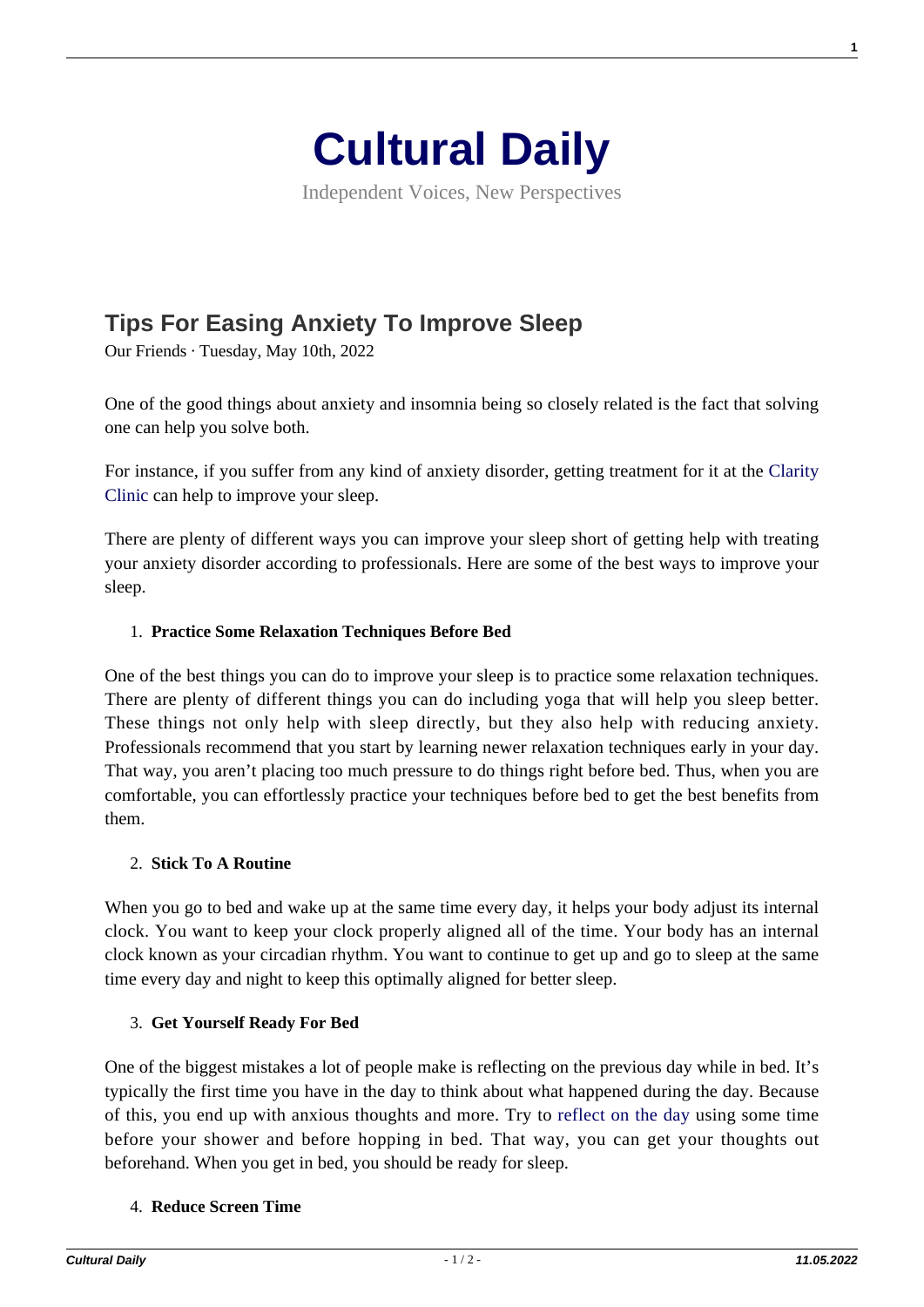

Independent Voices, New Perspectives

# **[Tips For Easing Anxiety To Improve Sleep](https://culturaldaily.com/tips-for-easing-anxiety-to-improve-sleep/)**

Our Friends · Tuesday, May 10th, 2022

One of the good things about anxiety and insomnia being so closely related is the fact that solving one can help you solve both.

For instance, if you suffer from any kind of anxiety disorder, getting treatment for it at the [Clarity](https://www.claritychi.com/anxiety-disorders/) [Clinic](https://www.claritychi.com/anxiety-disorders/) can help to improve your sleep.

There are plenty of different ways you can improve your sleep short of getting help with treating your anxiety disorder according to professionals. Here are some of the best ways to improve your sleep.

#### 1. **Practice Some Relaxation Techniques Before Bed**

One of the best things you can do to improve your sleep is to practice some relaxation techniques. There are plenty of different things you can do including yoga that will help you sleep better. These things not only help with sleep directly, but they also help with reducing anxiety. Professionals recommend that you start by learning newer relaxation techniques early in your day. That way, you aren't placing too much pressure to do things right before bed. Thus, when you are comfortable, you can effortlessly practice your techniques before bed to get the best benefits from them.

#### 2. **Stick To A Routine**

When you go to bed and wake up at the same time every day, it helps your body adjust its internal clock. You want to keep your clock properly aligned all of the time. Your body has an internal clock known as your circadian rhythm. You want to continue to get up and go to sleep at the same time every day and night to keep this optimally aligned for better sleep.

## 3. **Get Yourself Ready For Bed**

One of the biggest mistakes a lot of people make is reflecting on the previous day while in bed. It's typically the first time you have in the day to think about what happened during the day. Because of this, you end up with anxious thoughts and more. Try to [reflect on the day](https://zenhabits.net/5-powerful-reasons-to-make-reflection-a-daily-habit-and-how-to-do-it/) using some time before your shower and before hopping in bed. That way, you can get your thoughts out beforehand. When you get in bed, you should be ready for sleep.

#### 4. **Reduce Screen Time**

**1**